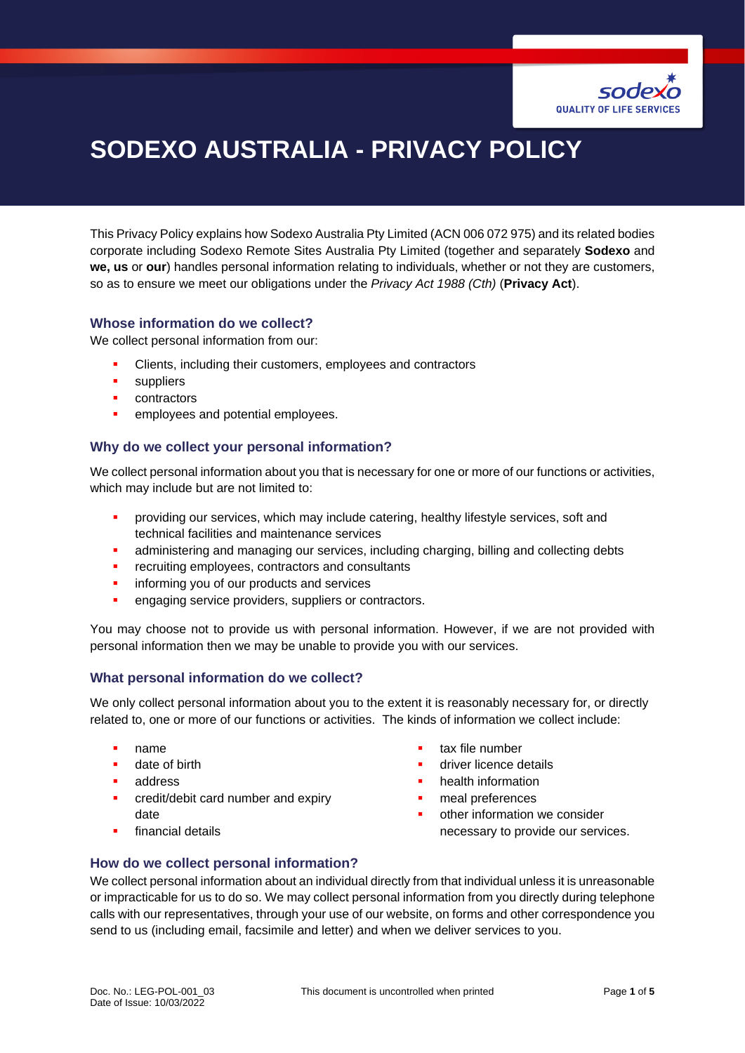

# **SODEXO AUSTRALIA - PRIVACY POLICY**

This Privacy Policy explains how Sodexo Australia Pty Limited (ACN 006 072 975) and its related bodies corporate including Sodexo Remote Sites Australia Pty Limited (together and separately **Sodexo** and **we, us** or **our**) handles personal information relating to individuals, whether or not they are customers, so as to ensure we meet our obligations under the *Privacy Act 1988 (Cth)* (**Privacy Act**).

#### **Whose information do we collect?**

We collect personal information from our:

- Clients, including their customers, employees and contractors
- suppliers
- contractors
- employees and potential employees.

#### **Why do we collect your personal information?**

We collect personal information about you that is necessary for one or more of our functions or activities, which may include but are not limited to:

- providing our services, which may include catering, healthy lifestyle services, soft and technical facilities and maintenance services
- **•** administering and managing our services, including charging, billing and collecting debts
- **•** recruiting employees, contractors and consultants
- informing you of our products and services
- **•** engaging service providers, suppliers or contractors.

You may choose not to provide us with personal information. However, if we are not provided with personal information then we may be unable to provide you with our services.

#### **What personal information do we collect?**

We only collect personal information about you to the extent it is reasonably necessary for, or directly related to, one or more of our functions or activities. The kinds of information we collect include:

- name
- date of birth
- address
- **•** credit/debit card number and expiry date
- financial details
- tax file number
- driver licence details
- health information
- meal preferences
- other information we consider necessary to provide our services.

#### **How do we collect personal information?**

We collect personal information about an individual directly from that individual unless it is unreasonable or impracticable for us to do so. We may collect personal information from you directly during telephone calls with our representatives, through your use of our website, on forms and other correspondence you send to us (including email, facsimile and letter) and when we deliver services to you.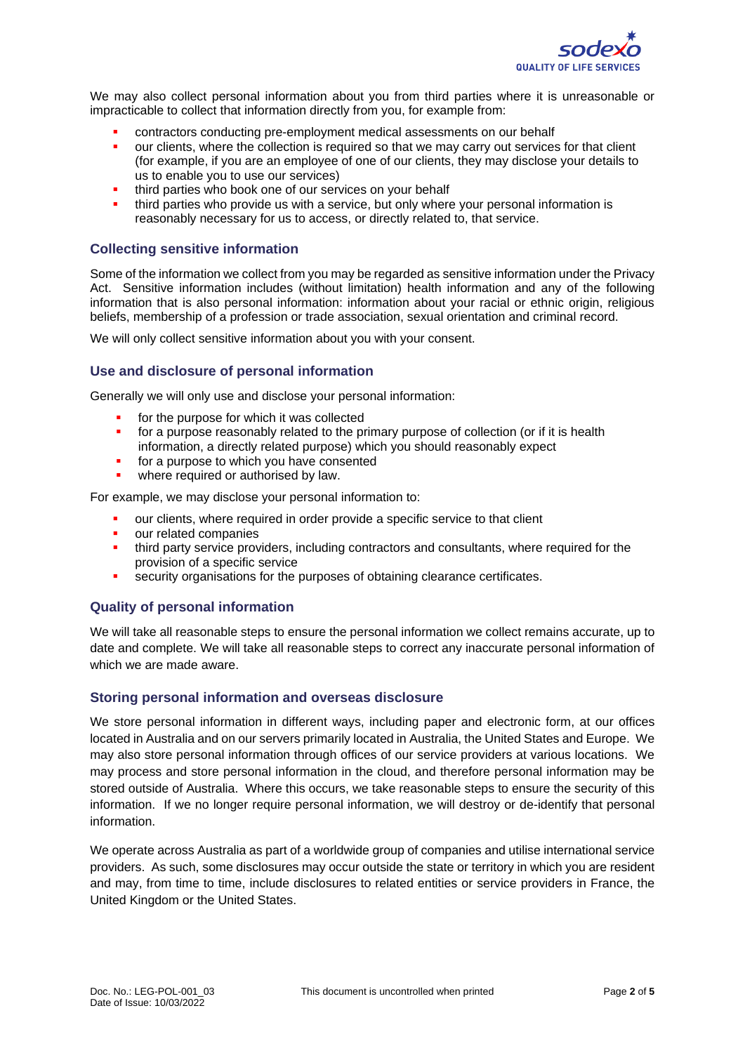

We may also collect personal information about you from third parties where it is unreasonable or impracticable to collect that information directly from you, for example from:

- contractors conducting pre-employment medical assessments on our behalf
- **•** our clients, where the collection is required so that we may carry out services for that client (for example, if you are an employee of one of our clients, they may disclose your details to us to enable you to use our services)
- third parties who book one of our services on your behalf
- third parties who provide us with a service, but only where your personal information is reasonably necessary for us to access, or directly related to, that service.

#### **Collecting sensitive information**

Some of the information we collect from you may be regarded as sensitive information under the Privacy Act. Sensitive information includes (without limitation) health information and any of the following information that is also personal information: information about your racial or ethnic origin, religious beliefs, membership of a profession or trade association, sexual orientation and criminal record.

We will only collect sensitive information about you with your consent.

#### **Use and disclosure of personal information**

Generally we will only use and disclose your personal information:

- for the purpose for which it was collected
- for a purpose reasonably related to the primary purpose of collection (or if it is health information, a directly related purpose) which you should reasonably expect
- for a purpose to which you have consented
- where required or authorised by law.

For example, we may disclose your personal information to:

- our clients, where required in order provide a specific service to that client
- our related companies
- **.** third party service providers, including contractors and consultants, where required for the provision of a specific service
- security organisations for the purposes of obtaining clearance certificates.

#### **Quality of personal information**

We will take all reasonable steps to ensure the personal information we collect remains accurate, up to date and complete. We will take all reasonable steps to correct any inaccurate personal information of which we are made aware.

#### **Storing personal information and overseas disclosure**

We store personal information in different ways, including paper and electronic form, at our offices located in Australia and on our servers primarily located in Australia, the United States and Europe. We may also store personal information through offices of our service providers at various locations. We may process and store personal information in the cloud, and therefore personal information may be stored outside of Australia. Where this occurs, we take reasonable steps to ensure the security of this information. If we no longer require personal information, we will destroy or de-identify that personal information.

We operate across Australia as part of a worldwide group of companies and utilise international service providers. As such, some disclosures may occur outside the state or territory in which you are resident and may, from time to time, include disclosures to related entities or service providers in France, the United Kingdom or the United States.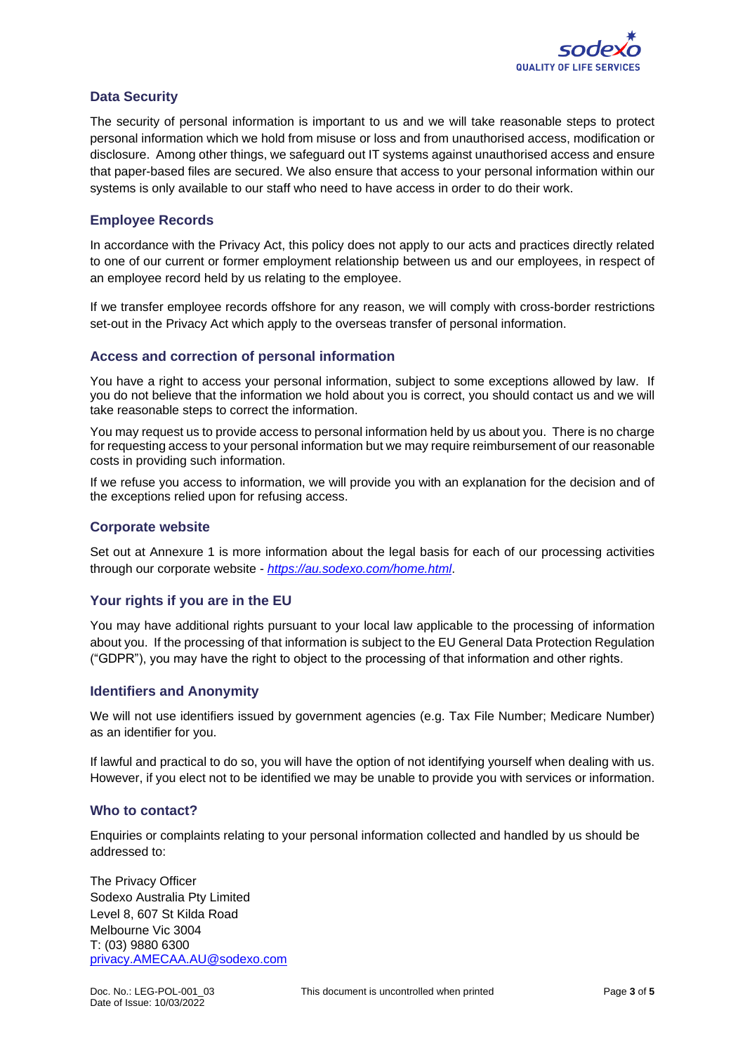

#### **Data Security**

The security of personal information is important to us and we will take reasonable steps to protect personal information which we hold from misuse or loss and from unauthorised access, modification or disclosure. Among other things, we safeguard out IT systems against unauthorised access and ensure that paper-based files are secured. We also ensure that access to your personal information within our systems is only available to our staff who need to have access in order to do their work.

#### **Employee Records**

In accordance with the Privacy Act, this policy does not apply to our acts and practices directly related to one of our current or former employment relationship between us and our employees, in respect of an employee record held by us relating to the employee.

If we transfer employee records offshore for any reason, we will comply with cross-border restrictions set-out in the Privacy Act which apply to the overseas transfer of personal information.

#### **Access and correction of personal information**

You have a right to access your personal information, subject to some exceptions allowed by law. If you do not believe that the information we hold about you is correct, you should contact us and we will take reasonable steps to correct the information.

You may request us to provide access to personal information held by us about you. There is no charge for requesting access to your personal information but we may require reimbursement of our reasonable costs in providing such information.

If we refuse you access to information, we will provide you with an explanation for the decision and of the exceptions relied upon for refusing access.

#### **Corporate website**

Set out at Annexure 1 is more information about the legal basis for each of our processing activities through our corporate website - *<https://au.sodexo.com/home.html>*.

#### **Your rights if you are in the EU**

You may have additional rights pursuant to your local law applicable to the processing of information about you. If the processing of that information is subject to the EU General Data Protection Regulation ("GDPR"), you may have the right to object to the processing of that information and other rights.

#### **Identifiers and Anonymity**

We will not use identifiers issued by government agencies (e.g. Tax File Number; Medicare Number) as an identifier for you.

If lawful and practical to do so, you will have the option of not identifying yourself when dealing with us. However, if you elect not to be identified we may be unable to provide you with services or information.

#### **Who to contact?**

Enquiries or complaints relating to your personal information collected and handled by us should be addressed to:

The Privacy Officer Sodexo Australia Pty Limited Level 8, 607 St Kilda Road Melbourne Vic 3004 T: (03) 9880 6300 [privacy.AMECAA.AU@sodexo.com](mailto:privacy.AMECAA.AU@sodexo.com)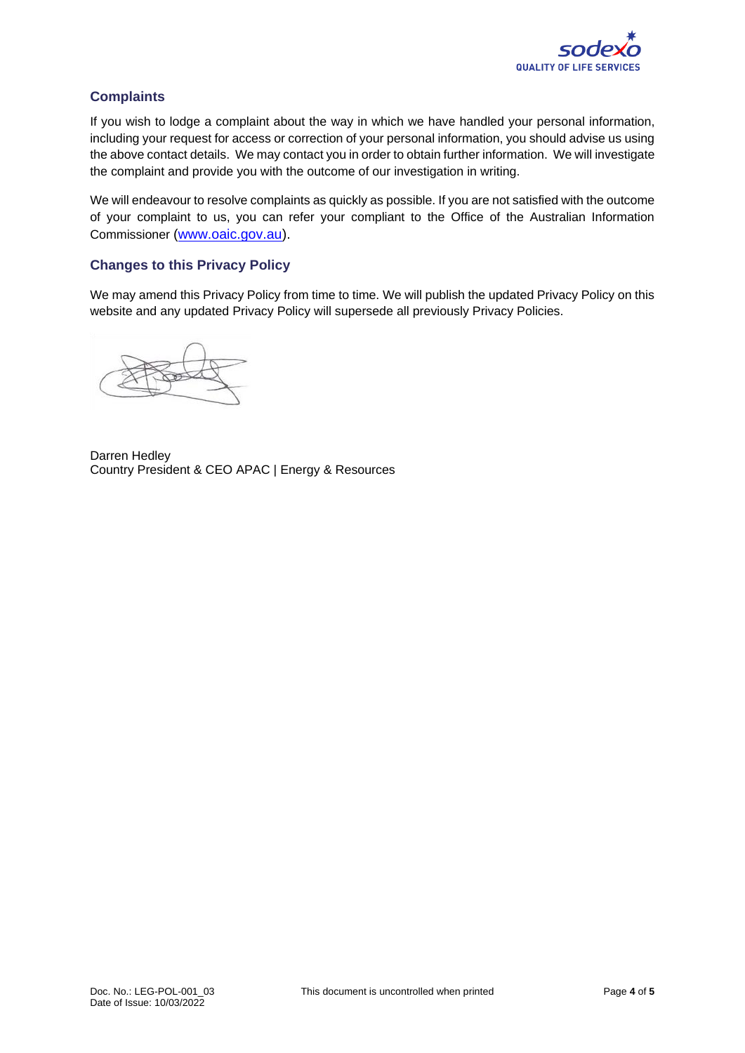

### **Complaints**

If you wish to lodge a complaint about the way in which we have handled your personal information, including your request for access or correction of your personal information, you should advise us using the above contact details. We may contact you in order to obtain further information. We will investigate the complaint and provide you with the outcome of our investigation in writing.

We will endeavour to resolve complaints as quickly as possible. If you are not satisfied with the outcome of your complaint to us, you can refer your compliant to the Office of the Australian Information Commissioner [\(www.oaic.gov.au\)](http://www.oaic.gov.au/).

#### **Changes to this Privacy Policy**

We may amend this Privacy Policy from time to time. We will publish the updated Privacy Policy on this website and any updated Privacy Policy will supersede all previously Privacy Policies.

Darren Hedley Country President & CEO APAC | Energy & Resources